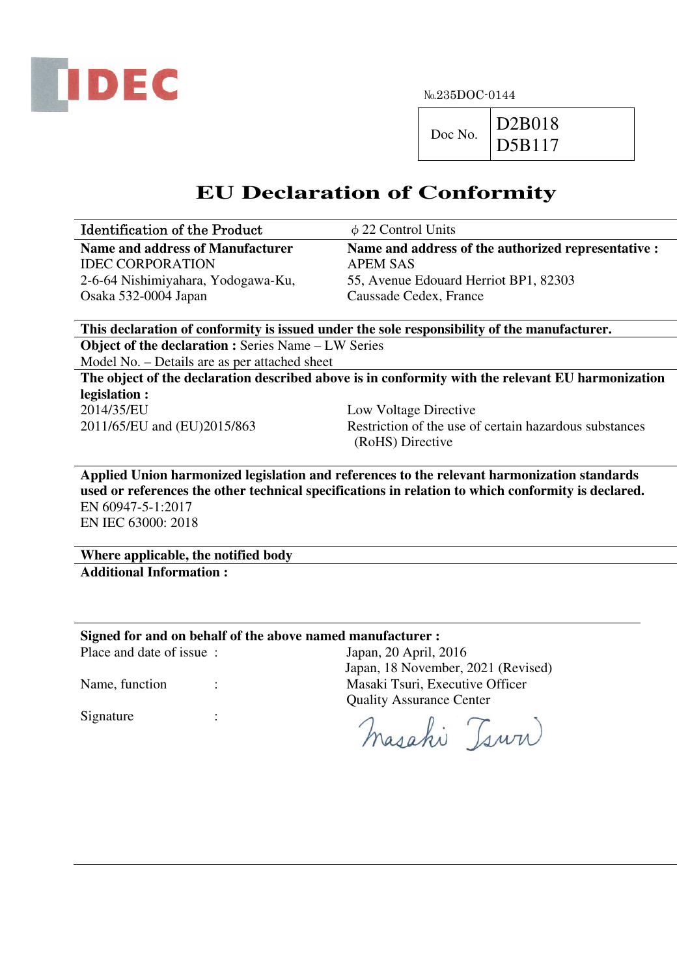

 $Doc No.$  D2B018 D5B117

## **EU Declaration of Conformity**

| <b>Identification of the Product</b> | $\phi$ 22 Control Units                             |
|--------------------------------------|-----------------------------------------------------|
| Name and address of Manufacturer     | Name and address of the authorized representative : |
| <b>IDEC CORPORATION</b>              | <b>APEM SAS</b>                                     |
| 2-6-64 Nishimiyahara, Yodogawa-Ku,   | 55, Avenue Edouard Herriot BP1, 82303               |
| Osaka 532-0004 Japan                 | Caussade Cedex, France                              |

**This declaration of conformity is issued under the sole responsibility of the manufacturer. Object of the declaration :** Series Name – LW Series

Model No. – Details are as per attached sheet

**The object of the declaration described above is in conformity with the relevant EU harmonization legislation :** 

2014/35/EU Low Voltage Directive

2011/65/EU and (EU)2015/863 Restriction of the use of certain hazardous substances (RoHS) Directive

**Applied Union harmonized legislation and references to the relevant harmonization standards used or references the other technical specifications in relation to which conformity is declared.**  EN 60947-5-1:2017 EN IEC 63000: 2018

**Where applicable, the notified body Additional Information :** 

**Signed for and on behalf of the above named manufacturer :** 

Place and date of issue : Japan, 20 April, 2016

Name, function : Masaki Tsuri, Executive Officer

Signature :

 Quality Assurance Center masahi Tsuri

Japan, 18 November, 2021 (Revised)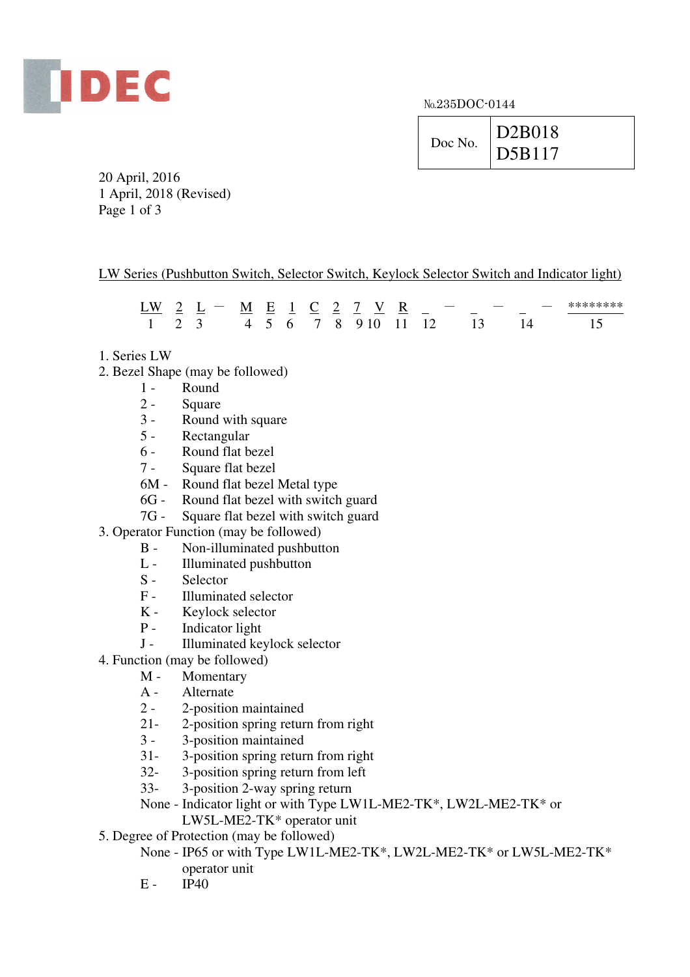

| Doc No. | D2B018<br>$\vert$ D5B117 |
|---------|--------------------------|
|         |                          |

20 April, 2016 1 April, 2018 (Revised) Page 1 of 3

## LW Series (Pushbutton Switch, Selector Switch, Keylock Selector Switch and Indicator light)

|  |  |  | $\sim$ | $\overline{\phantom{a}}$ | LW 2 L – M E 1 C 2 7 V R – | $\overline{\phantom{a}}$ |                                     |
|--|--|--|--------|--------------------------|----------------------------|--------------------------|-------------------------------------|
|  |  |  |        |                          |                            |                          | 1 2 3 4 5 6 7 8 9 10 11 12 13 14 15 |

- 1. Series LW
- 2. Bezel Shape (may be followed)
	- 1 Round<br>2 Square
	- **Square**
	- 3 Round with square
	- 5 Rectangular
	- 6 Round flat bezel
	- 7 Square flat bezel
	- 6M Round flat bezel Metal type
	- 6G Round flat bezel with switch guard
	- 7G Square flat bezel with switch guard
- 3. Operator Function (may be followed)
	- B Non-illuminated pushbutton
	- L Illuminated pushbutton<br>S Selector
	- **Selector**
	- F Illuminated selector
	- K Keylock selector
	- P Indicator light<br>J Illuminated ke
	- Illuminated keylock selector
- 4. Function (may be followed)
	- M Momentary
	- A Alternate
	- 2 2-position maintained
	- 21- 2-position spring return from right
	- 3 3-position maintained
	- 31- 3-position spring return from right
	- 32- 3-position spring return from left
	- 33- 3-position 2-way spring return
	- None Indicator light or with Type LW1L-ME2-TK\*, LW2L-ME2-TK\* or LW5L-ME2-TK\* operator unit
- 5. Degree of Protection (may be followed)
	- None IP65 or with Type LW1L-ME2-TK\*, LW2L-ME2-TK\* or LW5L-ME2-TK\* operator unit
	- $E IP40$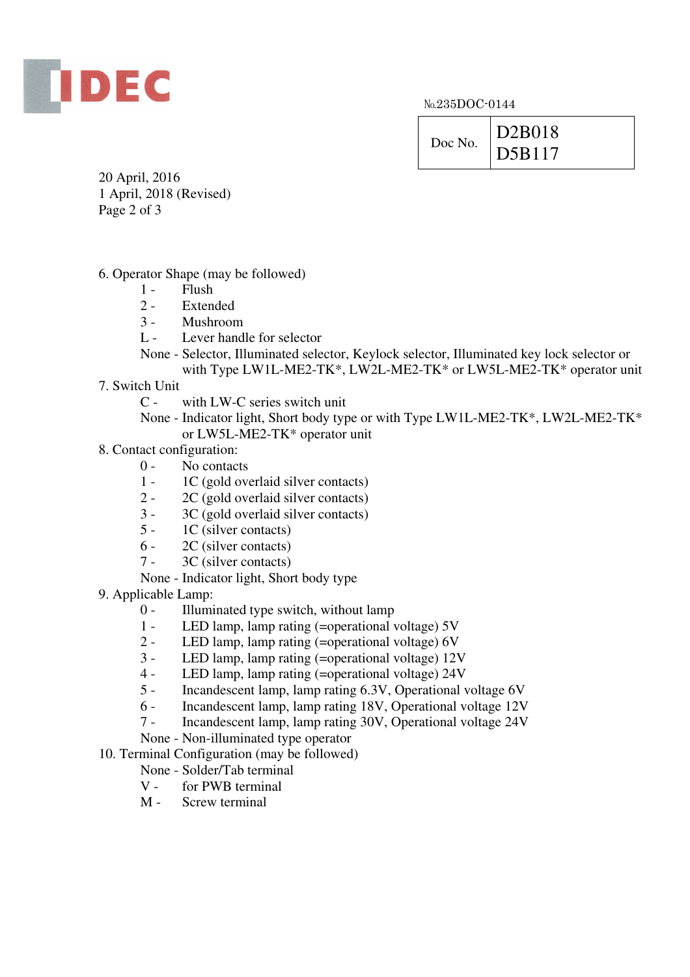

| Doc No. | D2B018             |
|---------|--------------------|
|         | $\overline{DB117}$ |

20 April, 2016 1 April, 2018 (Revised) Page 2 of 3

- 6. Operator Shape (may be followed)
	- $1 -$  Flush<br> $2 -$  Exten
	- **Extended**
	- 3 Mushroom
	- L Lever handle for selector
	- None Selector, Illuminated selector, Keylock selector, Illuminated key lock selector or with Type LW1L-ME2-TK\*, LW2L-ME2-TK\* or LW5L-ME2-TK\* operator unit
- 7. Switch Unit
	- C with LW-C series switch unit

 None - Indicator light, Short body type or with Type LW1L-ME2-TK\*, LW2L-ME2-TK\* or LW5L-ME2-TK\* operator unit

- 8. Contact configuration:
	- 0 No contacts
	- 1 1C (gold overlaid silver contacts)
	- 2 2C (gold overlaid silver contacts)
	- 3 3C (gold overlaid silver contacts)
	- 5 1C (silver contacts)
	- 6 2C (silver contacts)
	- 7 3C (silver contacts)
	- None Indicator light, Short body type

9. Applicable Lamp:

- 0 Illuminated type switch, without lamp
- 1 LED lamp, lamp rating (=operational voltage) 5V
- 2 LED lamp, lamp rating (=operational voltage) 6V
- 3 LED lamp, lamp rating (=operational voltage) 12V
- 4 LED lamp, lamp rating (=operational voltage) 24V
- 5 Incandescent lamp, lamp rating 6.3V, Operational voltage 6V
- 6 Incandescent lamp, lamp rating 18V, Operational voltage 12V
- 7 Incandescent lamp, lamp rating 30V, Operational voltage 24V
- None Non-illuminated type operator
- 10. Terminal Configuration (may be followed)
	- None Solder/Tab terminal
	- V for PWB terminal
	- M Screw terminal